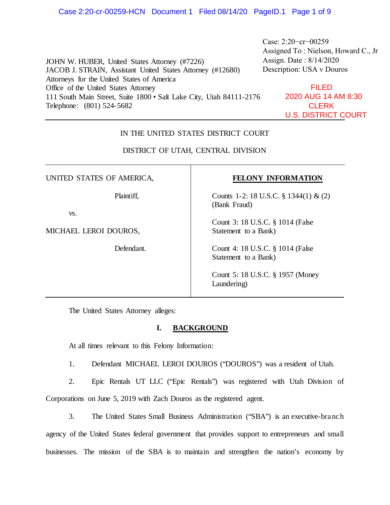JOHN W. HUBER, United States Attorney (#7226) JACOB J. STRAIN, Assistant United States Attorney (#12680) Attorneys for the United States of America Office of the United States Attorney 111 South Main Street, Suite 1800 • Salt Lake City, Utah 84111-2176 Telephone: (801) 524-5682 Assigned To : Nielson, Howard C., Jr Assign. Date : 8/14/2020 Description: USA v Douros FILED 2020 AUG 14 AM 8:30 **CLERK** U.S. DISTRICT COURT

# IN THE UNITED STATES DISTRICT COURT

# DISTRICT OF UTAH, CENTRAL DIVISION

UNITED STATES OF AMERICA,

Plaintiff,

vs.

MICHAEL LEROI DOUROS,

Defendant.

# **FELONY INFORMATION**

Case: 2:20−cr−00259

Counts 1-2: 18 U.S.C. § 1344(1) & (2) (Bank Fraud)

Count 3: 18 U.S.C. § 1014 (False Statement to a Bank)

Count 4: 18 U.S.C. § 1014 (False Statement to a Bank)

Count 5: 18 U.S.C. § 1957 (Money Laundering)

The United States Attorney alleges:

# **I. BACKGROUND**

At all times relevant to this Felony Information:

1. Defendant MICHAEL LEROI DOUROS ("DOUROS") was a resident of Utah.

2. Epic Rentals UT LLC ("Epic Rentals") was registered with Utah Division of Corporations on June 5, 2019 with Zach Douros as the registered agent.

3. The United States Small Business Administration ("SBA") is an executive-branch agency of the United States federal government that provides support to entrepreneurs and small businesses. The mission of the SBA is to maintain and strengthen the nation's economy by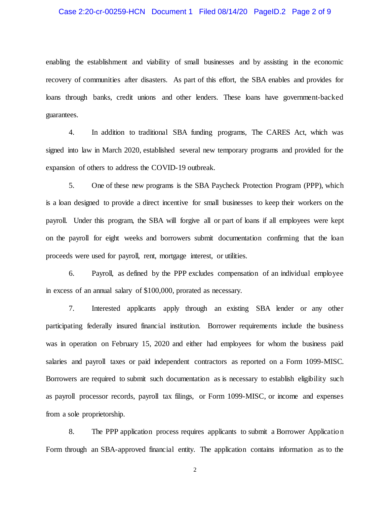#### Case 2:20-cr-00259-HCN Document 1 Filed 08/14/20 PageID.2 Page 2 of 9

enabling the establishment and viability of small businesses and by assisting in the economic recovery of communities after disasters. As part of this effort, the SBA enables and provides for loans through banks, credit unions and other lenders. These loans have government-backed guarantees.

4. In addition to traditional SBA funding programs, The CARES Act, which was signed into law in March 2020, established several new temporary programs and provided for the expansion of others to address the COVID-19 outbreak.

5. One of these new programs is the SBA Paycheck Protection Program (PPP), which is a loan designed to provide a direct incentive for small businesses to keep their workers on the payroll. Under this program, the SBA will forgive all or part of loans if all employees were kept on the payroll for eight weeks and borrowers submit documentation confirming that the loan proceeds were used for payroll, rent, mortgage interest, or utilities.

6. Payroll, as defined by the PPP excludes compensation of an individual employee in excess of an annual salary of \$100,000, prorated as necessary.

7. Interested applicants apply through an existing SBA lender or any other participating federally insured financial institution. Borrower requirements include the business was in operation on February 15, 2020 and either had employees for whom the business paid salaries and payroll taxes or paid independent contractors as reported on a Form 1099-MISC. Borrowers are required to submit such documentation as is necessary to establish eligibility such as payroll processor records, payroll tax filings, or Form 1099-MISC, or income and expenses from a sole proprietorship.

8. The PPP application process requires applicants to submit a Borrower Applicatio n Form through an SBA-approved financial entity. The application contains information as to the

2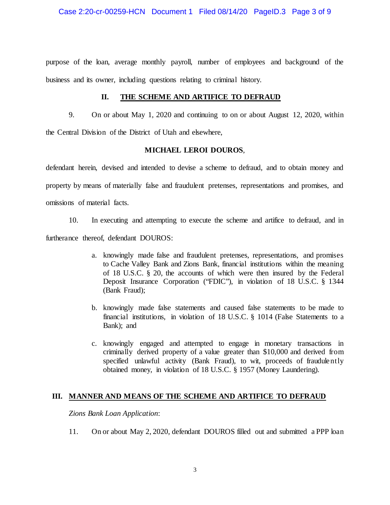#### Case 2:20-cr-00259-HCN Document 1 Filed 08/14/20 PageID.3 Page 3 of 9

purpose of the loan, average monthly payroll, number of employees and background of the business and its owner, including questions relating to criminal history.

### **II. THE SCHEME AND ARTIFICE TO DEFRAUD**

9. On or about May 1, 2020 and continuing to on or about August 12, 2020, within the Central Division of the District of Utah and elsewhere,

#### **MICHAEL LEROI DOUROS**,

defendant herein, devised and intended to devise a scheme to defraud, and to obtain money and property by means of materially false and fraudulent pretenses, representations and promises, and omissions of material facts.

10. In executing and attempting to execute the scheme and artifice to defraud, and in

furtherance thereof, defendant DOUROS:

- a. knowingly made false and fraudulent pretenses, representations, and promises to Cache Valley Bank and Zions Bank, financial institutions within the meaning of 18 U.S.C. § 20, the accounts of which were then insured by the Federal Deposit Insurance Corporation ("FDIC"), in violation of 18 U.S.C. § 1344 (Bank Fraud);
- b. knowingly made false statements and caused false statements to be made to financial institutions, in violation of 18 U.S.C. § 1014 (False Statements to a Bank); and
- c. knowingly engaged and attempted to engage in monetary transactions in criminally derived property of a value greater than \$10,000 and derived from specified unlawful activity (Bank Fraud), to wit, proceeds of fraudulently obtained money, in violation of 18 U.S.C. § 1957 (Money Laundering).

# **III. MANNER AND MEANS OF THE SCHEME AND ARTIFICE TO DEFRAUD**

*Zions Bank Loan Application*:

11. On or about May 2, 2020, defendant DOUROS filled out and submitted a PPP loan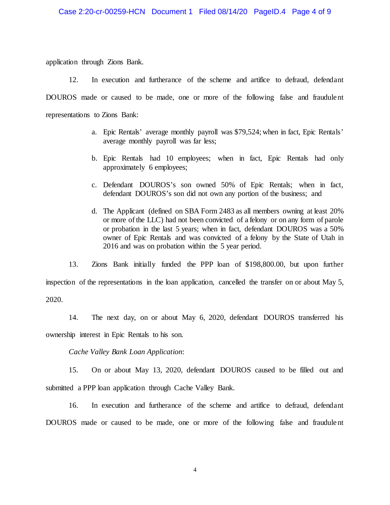application through Zions Bank.

12. In execution and furtherance of the scheme and artifice to defraud, defendant DOUROS made or caused to be made, one or more of the following false and fraudulent representations to Zions Bank:

- a. Epic Rentals' average monthly payroll was \$79,524; when in fact, Epic Rentals' average monthly payroll was far less;
- b. Epic Rentals had 10 employees; when in fact, Epic Rentals had only approximately 6 employees;
- c. Defendant DOUROS's son owned 50% of Epic Rentals; when in fact, defendant DOUROS's son did not own any portion of the business; and
- d. The Applicant (defined on SBA Form 2483 as all members owning at least 20% or more of the LLC) had not been convicted of a felony or on any form of parole or probation in the last 5 years; when in fact, defendant DOUROS was a 50% owner of Epic Rentals and was convicted of a felony by the State of Utah in 2016 and was on probation within the 5 year period.

13. Zions Bank initially funded the PPP loan of \$198,800.00, but upon further inspection of the representations in the loan application, cancelled the transfer on or about May 5, 2020.

14. The next day, on or about May 6, 2020, defendant DOUROS transferred his ownership interest in Epic Rentals to his son.

*Cache Valley Bank Loan Application*:

15. On or about May 13, 2020, defendant DOUROS caused to be filled out and submitted a PPP loan application through Cache Valley Bank.

16. In execution and furtherance of the scheme and artifice to defraud, defendant DOUROS made or caused to be made, one or more of the following false and fraudulent

4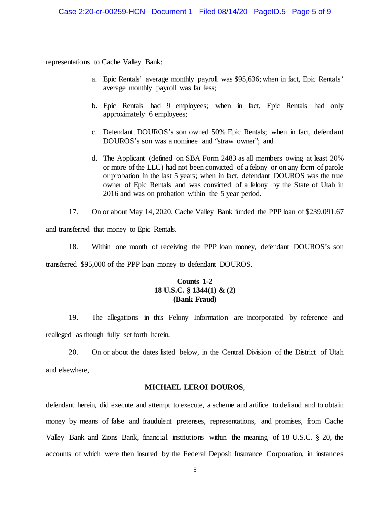representations to Cache Valley Bank:

- a. Epic Rentals' average monthly payroll was \$95,636; when in fact, Epic Rentals' average monthly payroll was far less;
- b. Epic Rentals had 9 employees; when in fact, Epic Rentals had only approximately 6 employees;
- c. Defendant DOUROS's son owned 50% Epic Rentals; when in fact, defendant DOUROS's son was a nominee and "straw owner"; and
- d. The Applicant (defined on SBA Form 2483 as all members owing at least 20% or more of the LLC) had not been convicted of a felony or on any form of parole or probation in the last 5 years; when in fact, defendant DOUROS was the true owner of Epic Rentals and was convicted of a felony by the State of Utah in 2016 and was on probation within the 5 year period.
- 17. On or about May 14, 2020, Cache Valley Bank funded the PPP loan of \$239,091.67

and transferred that money to Epic Rentals.

18. Within one month of receiving the PPP loan money, defendant DOUROS's son transferred \$95,000 of the PPP loan money to defendant DOUROS.

# **Counts 1-2 18 U.S.C. § 1344(1) & (2) (Bank Fraud)**

19. The allegations in this Felony Information are incorporated by reference and realleged as though fully set forth herein.

20. On or about the dates listed below, in the Central Division of the District of Utah and elsewhere,

#### **MICHAEL LEROI DOUROS**,

defendant herein, did execute and attempt to execute, a scheme and artifice to defraud and to obtain money by means of false and fraudulent pretenses, representations, and promises, from Cache Valley Bank and Zions Bank, financial institutions within the meaning of 18 U.S.C. § 20, the accounts of which were then insured by the Federal Deposit Insurance Corporation, in instances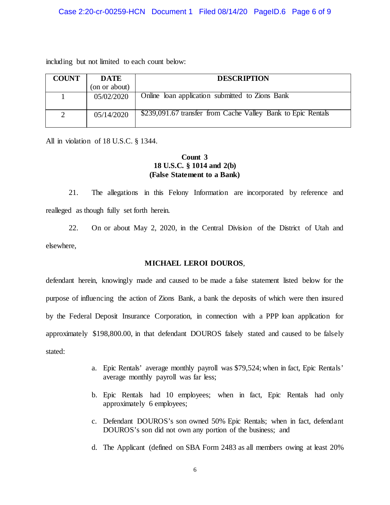#### Case 2:20-cr-00259-HCN Document 1 Filed 08/14/20 PageID.6 Page 6 of 9

including but not limited to each count below:

| <b>COUNT</b> | <b>DATE</b>   | <b>DESCRIPTION</b>                                           |
|--------------|---------------|--------------------------------------------------------------|
|              | (on or about) |                                                              |
|              | 05/02/2020    | Online loan application submitted to Zions Bank              |
|              | 05/14/2020    | \$239,091.67 transfer from Cache Valley Bank to Epic Rentals |

All in violation of 18 U.S.C. § 1344.

# **Count 3 18 U.S.C. § 1014 and 2(b) (False Statement to a Bank)**

21. The allegations in this Felony Information are incorporated by reference and realleged as though fully set forth herein.

22. On or about May 2, 2020, in the Central Division of the District of Utah and elsewhere,

### **MICHAEL LEROI DOUROS**,

defendant herein, knowingly made and caused to be made a false statement listed below for the purpose of influencing the action of Zions Bank, a bank the deposits of which were then insured by the Federal Deposit Insurance Corporation, in connection with a PPP loan application for approximately \$198,800.00, in that defendant DOUROS falsely stated and caused to be falsely stated:

- a. Epic Rentals' average monthly payroll was \$79,524; when in fact, Epic Rentals' average monthly payroll was far less;
- b. Epic Rentals had 10 employees; when in fact, Epic Rentals had only approximately 6 employees;
- c. Defendant DOUROS's son owned 50% Epic Rentals; when in fact, defendant DOUROS's son did not own any portion of the business; and
- d. The Applicant (defined on SBA Form 2483 as all members owing at least 20%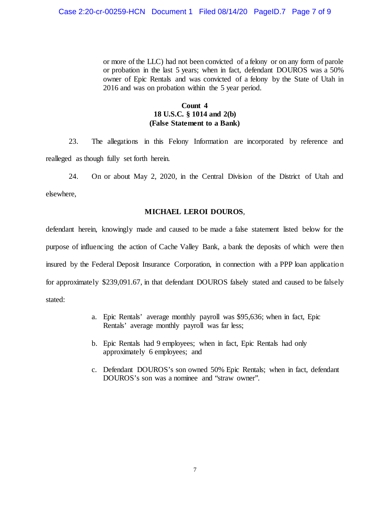or more of the LLC) had not been convicted of a felony or on any form of parole or probation in the last 5 years; when in fact, defendant DOUROS was a 50% owner of Epic Rentals and was convicted of a felony by the State of Utah in 2016 and was on probation within the 5 year period.

# **Count 4 18 U.S.C. § 1014 and 2(b) (False Statement to a Bank)**

23. The allegations in this Felony Information are incorporated by reference and realleged as though fully set forth herein.

24. On or about May 2, 2020, in the Central Division of the District of Utah and elsewhere,

### **MICHAEL LEROI DOUROS**,

defendant herein, knowingly made and caused to be made a false statement listed below for the purpose of influencing the action of Cache Valley Bank, a bank the deposits of which were then insured by the Federal Deposit Insurance Corporation, in connection with a PPP loan application for approximately \$239,091.67, in that defendant DOUROS falsely stated and caused to be falsely stated:

- a. Epic Rentals' average monthly payroll was \$95,636; when in fact, Epic Rentals' average monthly payroll was far less;
- b. Epic Rentals had 9 employees; when in fact, Epic Rentals had only approximately 6 employees; and
- c. Defendant DOUROS's son owned 50% Epic Rentals; when in fact, defendant DOUROS's son was a nominee and "straw owner".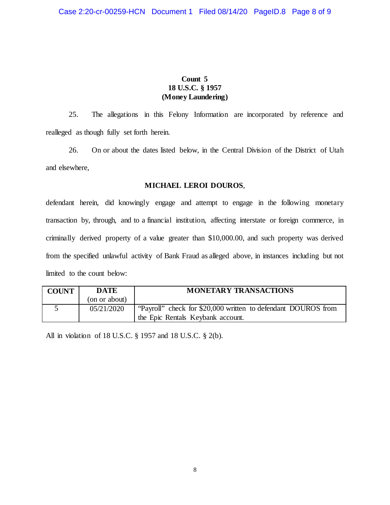# **Count 5 18 U.S.C. § 1957 (Money Laundering)**

25. The allegations in this Felony Information are incorporated by reference and realleged as though fully set forth herein.

26. On or about the dates listed below, in the Central Division of the District of Utah and elsewhere,

# **MICHAEL LEROI DOUROS**,

defendant herein, did knowingly engage and attempt to engage in the following monetary transaction by, through, and to a financial institution, affecting interstate or foreign commerce, in criminally derived property of a value greater than \$10,000.00, and such property was derived from the specified unlawful activity of Bank Fraud as alleged above, in instances including but not limited to the count below:

| <b>COUNT</b> | DATE          | <b>MONETARY TRANSACTIONS</b>                                  |
|--------------|---------------|---------------------------------------------------------------|
|              | (on or about) |                                                               |
|              | 05/21/2020    | "Payroll" check for \$20,000 written to defendant DOUROS from |
|              |               | the Epic Rentals Keybank account.                             |

All in violation of 18 U.S.C. § 1957 and 18 U.S.C. § 2(b).